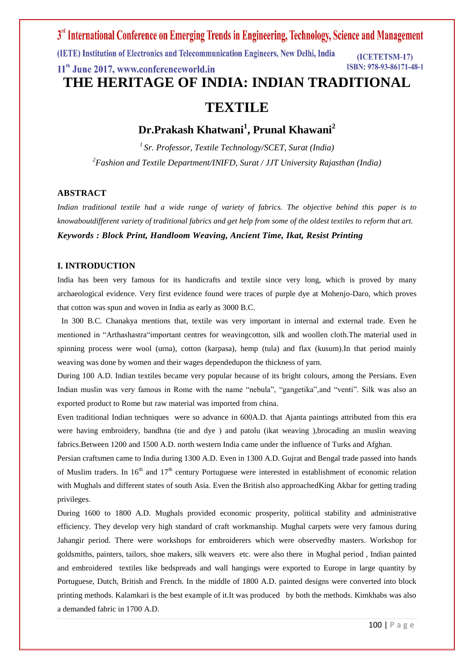# 3<sup>rd</sup> International Conference on Emerging Trends in Engineering, Technology, Science and Management (IETE) Institution of Electronics and Telecommunication Engineers, New Delhi, India (ICETETSM-17) ISBN: 978-93-86171-48-1 11<sup>th</sup> June 2017, www.conferenceworld.in **THE HERITAGE OF INDIA: INDIAN TRADITIONAL TEXTILE**

**Dr.Prakash Khatwani<sup>1</sup> , Prunal Khawani<sup>2</sup>**

*<sup>1</sup>Sr. Professor, Textile Technology/SCET, Surat (India) <sup>2</sup>Fashion and Textile Department/INIFD, Surat / JJT University Rajasthan (India)*

## **ABSTRACT**

*Indian traditional textile had a wide range of variety of fabrics. The objective behind this paper is to knowaboutdifferent variety of traditional fabrics and get help from some of the oldest textiles to reform that art. Keywords : Block Print, Handloom Weaving, Ancient Time, Ikat, Resist Printing*

## **I. INTRODUCTION**

India has been very famous for its handicrafts and textile since very long, which is proved by many archaeological evidence. Very first evidence found were traces of purple dye at Mohenjo-Daro, which proves that cotton was spun and woven in India as early as 3000 B.C.

 In 300 B.C. Chanakya mentions that, textile was very important in internal and external trade. Even he mentioned in "Arthashastra"important centres for weavingcotton, silk and woollen cloth.The material used in spinning process were wool (urna), cotton (karpasa), hemp (tula) and flax (kusum).In that period mainly weaving was done by women and their wages dependedupon the thickness of yarn.

During 100 A.D. Indian textiles became very popular because of its bright colours, among the Persians. Even Indian muslin was very famous in Rome with the name "nebula", "gangetika",and "venti". Silk was also an exported product to Rome but raw material was imported from china.

Even traditional Indian techniques were so advance in 600A.D. that Ajanta paintings attributed from this era were having embroidery, bandhna (tie and dye ) and patolu (ikat weaving ),brocading an muslin weaving fabrics.Between 1200 and 1500 A.D. north western India came under the influence of Turks and Afghan.

Persian craftsmen came to India during 1300 A.D. Even in 1300 A.D. Gujrat and Bengal trade passed into hands of Muslim traders. In  $16<sup>th</sup>$  and  $17<sup>th</sup>$  century Portuguese were interested in establishment of economic relation with Mughals and different states of south Asia. Even the British also approached King Akbar for getting trading privileges.

During 1600 to 1800 A.D. Mughals provided economic prosperity, political stability and administrative efficiency. They develop very high standard of craft workmanship. Mughal carpets were very famous during Jahangir period. There were workshops for embroiderers which were observedby masters. Workshop for goldsmiths, painters, tailors, shoe makers, silk weavers etc. were also there in Mughal period , Indian painted and embroidered textiles like bedspreads and wall hangings were exported to Europe in large quantity by Portuguese, Dutch, British and French. In the middle of 1800 A.D. painted designs were converted into block printing methods. Kalamkari is the best example of it.It was produced by both the methods. Kimkhabs was also a demanded fabric in 1700 A.D.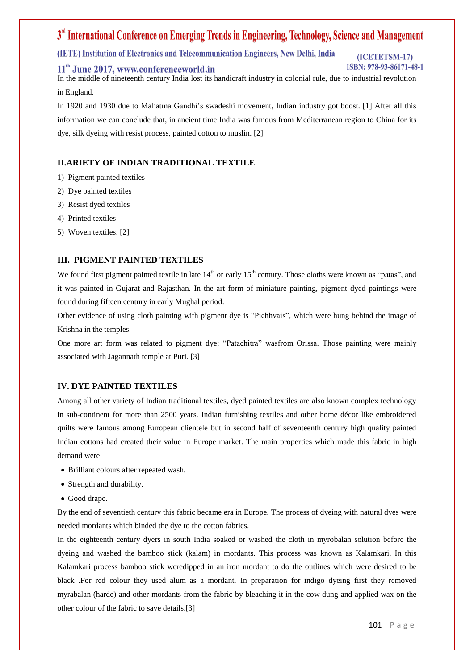# 3<sup>rd</sup> International Conference on Emerging Trends in Engineering, Technology, Science and Management

(IETE) Institution of Electronics and Telecommunication Engineers, New Delhi, India

# 11<sup>th</sup> June 2017, www.conferenceworld.in

#### (ICETETSM-17) ISBN: 978-93-86171-48-1

In the middle of nineteenth century India lost its handicraft industry in colonial rule, due to industrial revolution in England.

In 1920 and 1930 due to Mahatma Gandhi's swadeshi movement, Indian industry got boost. [1] After all this information we can conclude that, in ancient time India was famous from Mediterranean region to China for its dye, silk dyeing with resist process, painted cotton to muslin. [2]

# **II.ARIETY OF INDIAN TRADITIONAL TEXTILE**

- 1) Pigment painted textiles
- 2) Dye painted textiles
- 3) Resist dyed textiles
- 4) Printed textiles
- 5) Woven textiles. [2]

## **III. PIGMENT PAINTED TEXTILES**

We found first pigment painted textile in late  $14<sup>th</sup>$  or early  $15<sup>th</sup>$  century. Those cloths were known as "patas", and it was painted in Gujarat and Rajasthan. In the art form of miniature painting, pigment dyed paintings were found during fifteen century in early Mughal period.

Other evidence of using cloth painting with pigment dye is "Pichhvais", which were hung behind the image of Krishna in the temples.

One more art form was related to pigment dye; "Patachitra" wasfrom Orissa. Those painting were mainly associated with Jagannath temple at Puri. [3]

# **IV. DYE PAINTED TEXTILES**

Among all other variety of Indian traditional textiles, dyed painted textiles are also known complex technology in sub-continent for more than 2500 years. Indian furnishing textiles and other home décor like embroidered quilts were famous among European clientele but in second half of seventeenth century high quality painted Indian cottons had created their value in Europe market. The main properties which made this fabric in high demand were

- Brilliant colours after repeated wash.
- Strength and durability.
- Good drape.

By the end of seventieth century this fabric became era in Europe. The process of dyeing with natural dyes were needed mordants which binded the dye to the cotton fabrics.

In the eighteenth century dyers in south India soaked or washed the cloth in myrobalan solution before the dyeing and washed the bamboo stick (kalam) in mordants. This process was known as Kalamkari. In this Kalamkari process bamboo stick weredipped in an iron mordant to do the outlines which were desired to be black .For red colour they used alum as a mordant. In preparation for indigo dyeing first they removed myrabalan (harde) and other mordants from the fabric by bleaching it in the cow dung and applied wax on the other colour of the fabric to save details.[3]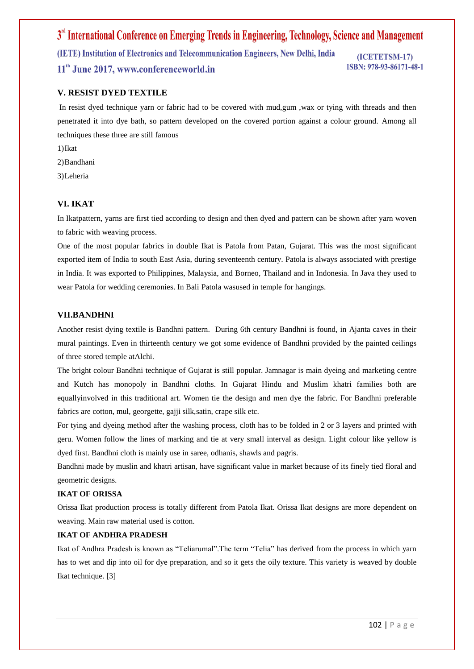3<sup>rd</sup> International Conference on Emerging Trends in Engineering, Technology, Science and Management (IETE) Institution of Electronics and Telecommunication Engineers, New Delhi, India (ICETETSM-17) ISBN: 978-93-86171-48-1 11<sup>th</sup> June 2017, www.conferenceworld.in

#### **V. RESIST DYED TEXTILE**

In resist dyed technique yarn or fabric had to be covered with mud,gum ,wax or tying with threads and then penetrated it into dye bath, so pattern developed on the covered portion against a colour ground. Among all techniques these three are still famous

- 1)Ikat
- 2)Bandhani
- 3)Leheria

#### **VI. IKAT**

In Ikatpattern, yarns are first tied according to design and then dyed and pattern can be shown after yarn woven to fabric with weaving process.

One of the most popular fabrics in double Ikat is Patola from Patan, Gujarat. This was the most significant exported item of India to south East Asia, during seventeenth century. Patola is always associated with prestige in India. It was exported to Philippines, Malaysia, and Borneo, Thailand and in Indonesia. In Java they used to wear Patola for wedding ceremonies. In Bali Patola wasused in temple for hangings.

#### **VII.BANDHNI**

Another resist dying textile is Bandhni pattern. During 6th century Bandhni is found, in Ajanta caves in their mural paintings. Even in thirteenth century we got some evidence of Bandhni provided by the painted ceilings of three stored temple atAlchi.

The bright colour Bandhni technique of Gujarat is still popular. Jamnagar is main dyeing and marketing centre and Kutch has monopoly in Bandhni cloths. In Gujarat Hindu and Muslim khatri families both are equallyinvolved in this traditional art. Women tie the design and men dye the fabric. For Bandhni preferable fabrics are cotton, mul, georgette, gajji silk,satin, crape silk etc.

For tying and dyeing method after the washing process, cloth has to be folded in 2 or 3 layers and printed with geru. Women follow the lines of marking and tie at very small interval as design. Light colour like yellow is dyed first. Bandhni cloth is mainly use in saree, odhanis, shawls and pagris.

Bandhni made by muslin and khatri artisan, have significant value in market because of its finely tied floral and geometric designs.

#### **IKAT OF ORISSA**

Orissa Ikat production process is totally different from Patola Ikat. Orissa Ikat designs are more dependent on weaving. Main raw material used is cotton.

#### **IKAT OF ANDHRA PRADESH**

Ikat of Andhra Pradesh is known as "Teliarumal".The term "Telia" has derived from the process in which yarn has to wet and dip into oil for dye preparation, and so it gets the oily texture. This variety is weaved by double Ikat technique. [3]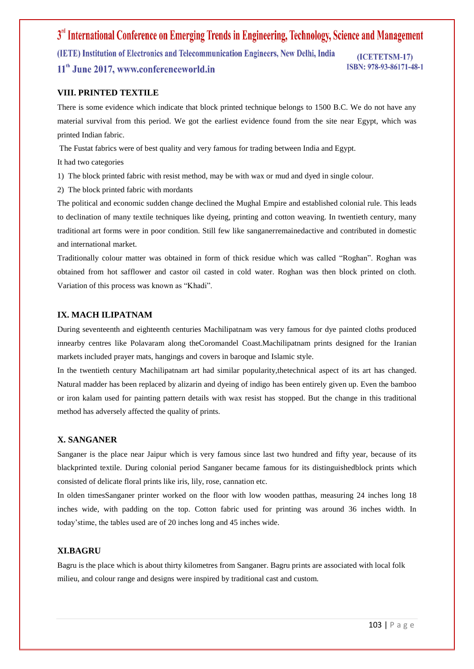3<sup>rd</sup> International Conference on Emerging Trends in Engineering, Technology, Science and Management (IETE) Institution of Electronics and Telecommunication Engineers, New Delhi, India (ICETETSM-17) ISBN: 978-93-86171-48-1 11<sup>th</sup> June 2017, www.conferenceworld.in

## **VIII. PRINTED TEXTILE**

There is some evidence which indicate that block printed technique belongs to 1500 B.C. We do not have any material survival from this period. We got the earliest evidence found from the site near Egypt, which was printed Indian fabric.

The Fustat fabrics were of best quality and very famous for trading between India and Egypt.

It had two categories

1) The block printed fabric with resist method, may be with wax or mud and dyed in single colour.

2) The block printed fabric with mordants

The political and economic sudden change declined the Mughal Empire and established colonial rule. This leads to declination of many textile techniques like dyeing, printing and cotton weaving. In twentieth century, many traditional art forms were in poor condition. Still few like sanganerremainedactive and contributed in domestic and international market.

Traditionally colour matter was obtained in form of thick residue which was called "Roghan". Roghan was obtained from hot safflower and castor oil casted in cold water. Roghan was then block printed on cloth. Variation of this process was known as "Khadi".

#### **IX. MACH ILIPATNAM**

During seventeenth and eighteenth centuries Machilipatnam was very famous for dye painted cloths produced innearby centres like Polavaram along theCoromandel Coast.Machilipatnam prints designed for the Iranian markets included prayer mats, hangings and covers in baroque and Islamic style.

In the twentieth century Machilipatnam art had similar popularity,thetechnical aspect of its art has changed. Natural madder has been replaced by alizarin and dyeing of indigo has been entirely given up. Even the bamboo or iron kalam used for painting pattern details with wax resist has stopped. But the change in this traditional method has adversely affected the quality of prints.

## **X. SANGANER**

Sanganer is the place near Jaipur which is very famous since last two hundred and fifty year, because of its blackprinted textile. During colonial period Sanganer became famous for its distinguishedblock prints which consisted of delicate floral prints like iris, lily, rose, cannation etc.

In olden timesSanganer printer worked on the floor with low wooden patthas, measuring 24 inches long 18 inches wide, with padding on the top. Cotton fabric used for printing was around 36 inches width. In today'stime, the tables used are of 20 inches long and 45 inches wide.

#### **XI.BAGRU**

Bagru is the place which is about thirty kilometres from Sanganer. Bagru prints are associated with local folk milieu, and colour range and designs were inspired by traditional cast and custom.